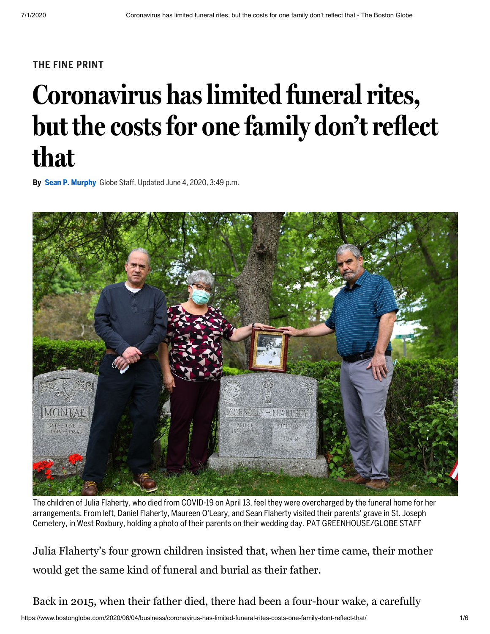## **THE FINE PRINT**

## **Coronavirus haslimited funeral rites, but the costsfor one family don'treflect that**

**By Sean P. [Murphy](https://www.bostonglobe.com/staff/murphyse?p1=Article_Byline)** Globe Staff, Updated June 4, 2020, 3:49 p.m.



The children of Julia Flaherty, who died from COVID-19 on April 13, feel they were overcharged by the funeral home for her arrangements. From left, Daniel Flaherty, Maureen O'Leary, and Sean Flaherty visited their parents' grave in St. Joseph Cemetery, in West Roxbury, holding a photo of their parents on their wedding day. PAT GREENHOUSE/GLOBE STAFF

Julia Flaherty's four grown children insisted that, when her time came, their mother would get the same kind of funeral and burial as their father.

Back in 2015, when their father died, there had been a four-hour wake, a carefully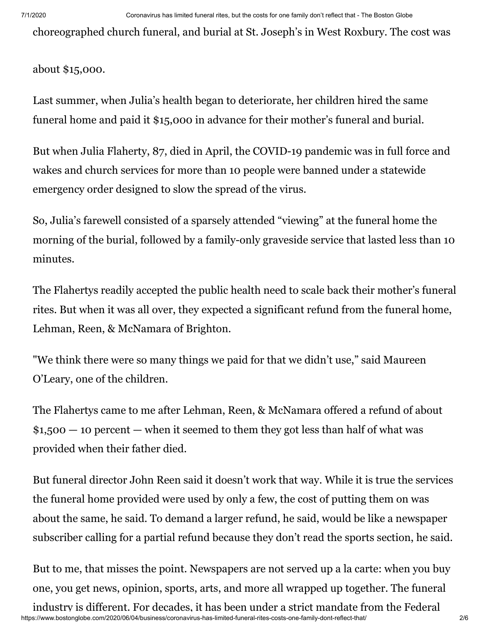choreographed church funeral, and burial at St. Joseph's in West Roxbury. The cost was

about \$15,000.

Last summer, when Julia's health began to deteriorate, her children hired the same funeral home and paid it \$15,000 in advance for their mother's funeral and burial.

But when Julia Flaherty, 87, died in April, the COVID-19 pandemic was in full force and wakes and church services for more than 10 people were banned under a statewide emergency order designed to slow the spread of the virus.

So, Julia's farewell consisted of a sparsely attended "viewing" at the funeral home the morning of the burial, followed by a family-only graveside service that lasted less than 10 minutes.

The Flahertys readily accepted the public health need to scale back their mother's funeral rites. But when it was all over, they expected a significant refund from the funeral home, Lehman, Reen, & McNamara of Brighton.

"We think there were so many things we paid for that we didn't use," said Maureen O'Leary, one of the children.

The Flahertys came to me after Lehman, Reen, & McNamara offered a refund of about  $$1,500 - 10$  percent — when it seemed to them they got less than half of what was provided when their father died.

But funeral director John Reen said it doesn't work that way. While it is true the services the funeral home provided were used by only a few, the cost of putting them on was about the same, he said. To demand a larger refund, he said, would be like a newspaper subscriber calling for a partial refund because they don't read the sports section, he said.

But to me, that misses the point. Newspapers are not served up a la carte: when you buy one, you get news, opinion, sports, arts, and more all wrapped up together. The funeral industry is different. For decades, it has been under a strict mandate from the Federal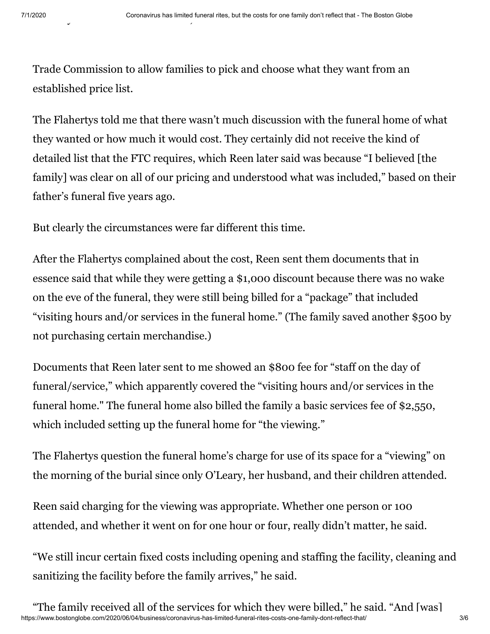Trade Commission to allow families to pick and choose what they want from an established price list.

The Flahertys told me that there wasn't much discussion with the funeral home of what they wanted or how much it would cost. They certainly did not receive the kind of detailed list that the FTC requires, which Reen later said was because "I believed [the family] was clear on all of our pricing and understood what was included," based on their father's funeral five years ago.

But clearly the circumstances were far different this time.

After the Flahertys complained about the cost, Reen sent them documents that in essence said that while they were getting a \$1,000 discount because there was no wake on the eve of the funeral, they were still being billed for a "package" that included "visiting hours and/or services in the funeral home." (The family saved another \$500 by not purchasing certain merchandise.)

Documents that Reen later sent to me showed an \$800 fee for "staff on the day of funeral/service," which apparently covered the "visiting hours and/or services in the funeral home." The funeral home also billed the family a basic services fee of \$2,550, which included setting up the funeral home for "the viewing."

The Flahertys question the funeral home's charge for use of its space for a "viewing" on the morning of the burial since only O'Leary, her husband, and their children attended.

Reen said charging for the viewing was appropriate. Whether one person or 100 attended, and whether it went on for one hour or four, really didn't matter, he said.

"We still incur certain fixed costs including opening and staffing the facility, cleaning and sanitizing the facility before the family arrives," he said.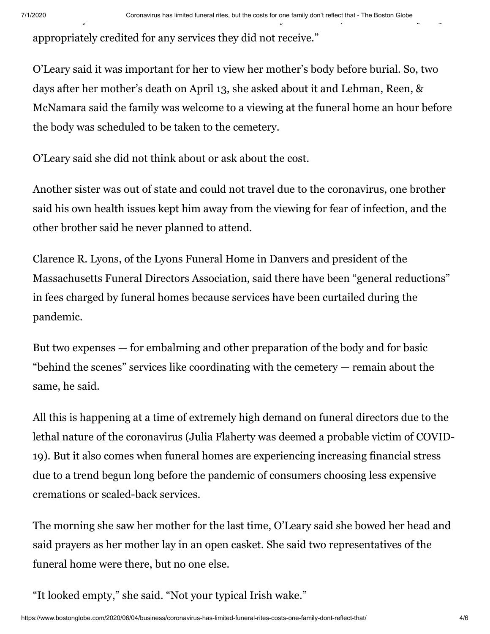appropriately credited for any services they did not receive."

O'Leary said it was important for her to view her mother's body before burial. So, two days after her mother's death on April 13, she asked about it and Lehman, Reen, & McNamara said the family was welcome to a viewing at the funeral home an hour before the body was scheduled to be taken to the cemetery.

O'Leary said she did not think about or ask about the cost.

Another sister was out of state and could not travel due to the coronavirus, one brother said his own health issues kept him away from the viewing for fear of infection, and the other brother said he never planned to attend.

Clarence R. Lyons, of the Lyons Funeral Home in Danvers and president of the Massachusetts Funeral Directors Association, said there have been "general reductions" in fees charged by funeral homes because services have been curtailed during the pandemic.

But two expenses — for embalming and other preparation of the body and for basic "behind the scenes" services like coordinating with the cemetery — remain about the same, he said.

All this is happening at a time of extremely high demand on funeral directors due to the lethal nature of the coronavirus (Julia Flaherty was deemed a probable victim of COVID-19). But it also comes when funeral homes are experiencing increasing financial stress due to a trend begun long before the pandemic of consumers choosing less expensive cremations or scaled-back services.

The morning she saw her mother for the last time, O'Leary said she bowed her head and said prayers as her mother lay in an open casket. She said two representatives of the funeral home were there, but no one else.

"It looked empty," she said. "Not your typical Irish wake."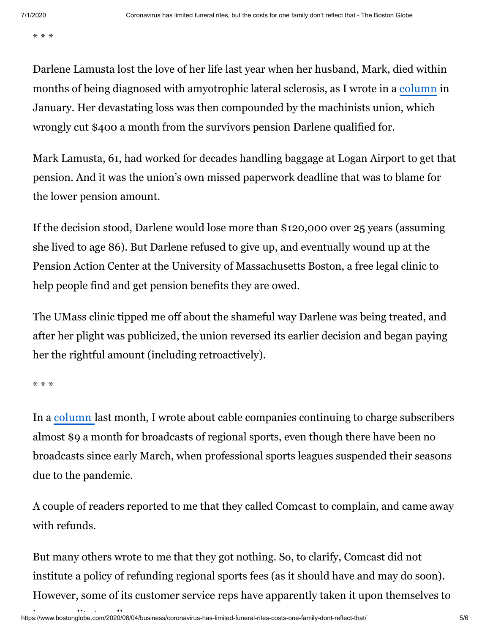\* \* \*

Darlene Lamusta lost the love of her life last year when her husband, Mark, died within months of being diagnosed with amyotrophic lateral sclerosis, as I wrote in a [column](https://www.bostonglobe.com/business/2020/01/12/paperwork-glitch-cuts-widow-pension-payment-nearly-half/A2SHZg2MsGDEsZ0vo3TjkI/story.html?p1=Article_Inline_Text_Link) in January. Her devastating loss was then compounded by the machinists union, which wrongly cut \$400 a month from the survivors pension Darlene qualified for.

Mark Lamusta, 61, had worked for decades handling baggage at Logan Airport to get that pension. And it was the union's own missed paperwork deadline that was to blame for the lower pension amount.

If the decision stood, Darlene would lose more than \$120,000 over 25 years (assuming she lived to age 86). But Darlene refused to give up, and eventually wound up at the Pension Action Center at the University of Massachusetts Boston, a free legal clinic to help people find and get pension benefits they are owed.

The UMass clinic tipped me off about the shameful way Darlene was being treated, and after her plight was publicized, the union reversed its earlier decision and began paying her the rightful amount (including retroactively).

\* \* \*

In a [column](https://www.bostonglobe.com/2020/05/10/business/why-pay-your-cable-company-regional-sports-fee-when-there-are-no-games/?p1=Article_Inline_Text_Link&p1=Article_Inline_Text_Link) last month, I wrote about cable companies continuing to charge subscribers almost \$9 a month for broadcasts of regional sports, even though there have been no broadcasts since early March, when professional sports leagues suspended their seasons due to the pandemic.

A couple of readers reported to me that they called Comcast to complain, and came away with refunds.

But many others wrote to me that they got nothing. So, to clarify, Comcast did not institute a policy of refunding regional sports fees (as it should have and may do soon). However, some of its customer service reps have apparently taken it upon themselves to